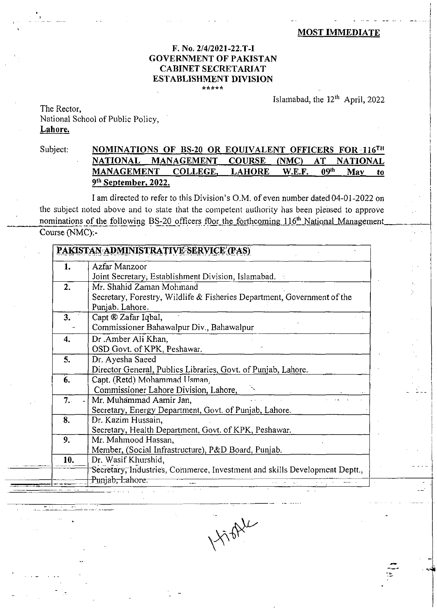## **MOST IMMEDIATE**

## **F. NO. 2/4/2021-22.T-1 GOVERNMENT OF PAKISTAN CABINET SECRETARIAT ESTABLISHMENT DIVISION** \*\*\*\*\*

Islamabad, the **12"'** April, 2022

The Rector, National School of Public Policy, Lahore.

## Subject: **NOMINATIONS OF BS-20 OR EQUIVALENT OFFICERS FOR -116TH NATIONAL MANAGEMENT COURSE (NMC) AT NATIONAL**  MANAGEMENT COLLEGE, LAHORE W.E.F. 09<sup>th</sup> May to  $9<sup>th</sup>$  September, 2022.

I am directed to refer to this Division's O.M. of even number dated 04-01-2022 on the subject noted above and to state that the competent authority has been pleased to approve nominations of the following BS-20 officers foor the forthcoming 116<sup>th</sup> National Management Course (NMC):-

| 1.  | Azfar Manzoor                                                              |  |
|-----|----------------------------------------------------------------------------|--|
|     | Joint Secretary, Establishment Division, Islamabad. .                      |  |
| 2.  | Mr. Shahid Zaman Mohmand                                                   |  |
|     | Secretary, Forestry, Wildlife & Fisheries Department, Government of the    |  |
|     | Punjab. Lahore.                                                            |  |
| 3.  | Capt ® Zafar Iqbal,                                                        |  |
|     | Commissioner Bahawalpur Div., Bahawalpur                                   |  |
| 4.  | Dr.Amber Ali Khan,                                                         |  |
|     | OSD Govt. of KPK, Peshawar.                                                |  |
| 5.  | Dr. Ayesha Saeed                                                           |  |
|     | Director General, Publics Libraries, Govt. of Punjab, Lahore.              |  |
| 6.  | Capt. (Retd) Mohammad Usman,                                               |  |
|     | Commissioner Lahore Division, Lahore,                                      |  |
| 7.  | Mr. Muhammad Aamir Jan,                                                    |  |
|     | Secretary, Energy Department, Govt. of Punjab, Lahore.                     |  |
| 8.  | Dr. Kazim Hussain,                                                         |  |
|     | Secretary, Health Department, Govt. of KPK, Peshawar.                      |  |
| 9.1 | Mr. Mahmood Hassan,                                                        |  |
|     | Member, (Social Infrastructure), P&D Board, Punjab.                        |  |
| 10. | Dr. Wasif Khurshid,                                                        |  |
|     | Secretary, Industries, Commerce, Investment and skills Development Deptt., |  |
|     | Punjab, Lahore.                                                            |  |

Histhe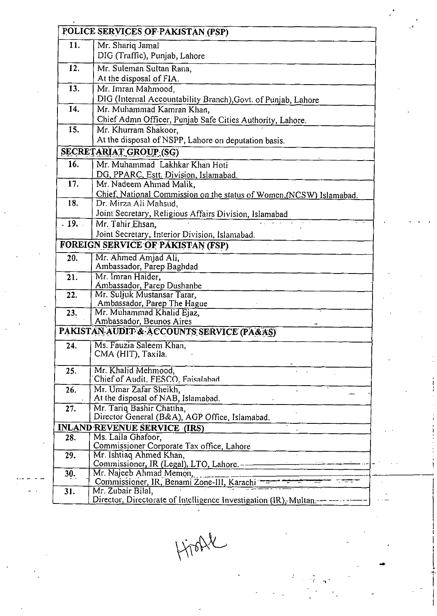| POLICE SERVICES OF PAKISTAN (PSP) |                                                                             |  |  |  |
|-----------------------------------|-----------------------------------------------------------------------------|--|--|--|
| 11.                               | Mr. Shariq Jamal                                                            |  |  |  |
|                                   | DIG (Traffic), Punjab, Lahore                                               |  |  |  |
| 12.                               | Mr. Suleman Sultan Rana,                                                    |  |  |  |
|                                   | At the disposal of FIA.                                                     |  |  |  |
| 13.                               | Mr. Imran Mahmood,                                                          |  |  |  |
|                                   | DIG (Internal Accountability Branch), Govt. of Punjab, Lahore               |  |  |  |
| 14.                               | Mr. Muhammad Kamran Khan,                                                   |  |  |  |
|                                   | Chief Admn Officer, Punjab Safe Cities Authority, Lahore.                   |  |  |  |
| 15.                               | Mr. Khurram Shakoor,                                                        |  |  |  |
|                                   | At the disposal of NSPP, Lahore on deputation basis.                        |  |  |  |
|                                   | SECRETARIAT GROUP (SG)                                                      |  |  |  |
| 16.                               | Mr. Muhammad Lakhkar Khan Hoti                                              |  |  |  |
|                                   | DG, PPARC, Estt. Division, Islamabad.                                       |  |  |  |
| 17.                               | Mr. Nadeem Ahmad Malik,                                                     |  |  |  |
|                                   | Chief, National Commission on the status of Women, (NCSW) Islamabad.        |  |  |  |
| 18.                               | Dr. Mirza Ali Mahsud,                                                       |  |  |  |
|                                   | Joint Secretary, Religious Affairs Division, Islamabad                      |  |  |  |
| .19.                              | Mr. Tahir Ehsan,                                                            |  |  |  |
|                                   | Joint Secretary, Interior Division, Islamabad.                              |  |  |  |
|                                   | FOREIGN SERVICE OF PAKISTAN (FSP)                                           |  |  |  |
| 20.                               | Mr. Ahmed Amjad Ali,                                                        |  |  |  |
|                                   | Ambassador, Parep Baghdad                                                   |  |  |  |
| 21.                               | Mr. Imran Haider,<br>Ambassador, Parep Dushanbe                             |  |  |  |
| 22.                               | Mr. Suljuk Mustansar Tarar,                                                 |  |  |  |
|                                   | Ambassador, Parep The Hague                                                 |  |  |  |
| 23.                               | Mr. Muhammad Khalid Ejaz,                                                   |  |  |  |
|                                   | Ambassador, Beunos Aires                                                    |  |  |  |
|                                   | PAKISTAN AUDIT & ACCOUNTS SERVICE (PA&AS)                                   |  |  |  |
| 24.                               | Ms. Fauzia Saleem Khan,                                                     |  |  |  |
|                                   | CMA (HIT), Taxila.                                                          |  |  |  |
| 25.                               | Mr. Khalid Mehmood,                                                         |  |  |  |
|                                   | Chief of Audit, FESCO, Faisalahad                                           |  |  |  |
| 26.                               | Mr. Umar Zafar Sheikh,                                                      |  |  |  |
|                                   | At the disposal of NAB, Islamabad.                                          |  |  |  |
| 27.                               | Mr. Tariq Bashir Chattha,<br>Director General (B&A), AGP Office, Islamabad. |  |  |  |
|                                   | <b>INLAND REVENUE SERVICE (IRS)</b>                                         |  |  |  |
| 28.                               | Ms. Laila Ghafoor,                                                          |  |  |  |
|                                   | Commissioner Corporate Tax office, Lahore                                   |  |  |  |
| 29.                               | Mr. Ishtiaq Ahmed Khan,                                                     |  |  |  |
|                                   | Commissioner, IR (Legal), LTO, Lahore.---                                   |  |  |  |
| 30.                               | Mr. Najeeb Ahmad Memon,                                                     |  |  |  |
| 31.                               | Commissioner, IR, Benami Zone-III, Karachi<br>Mr. Zubair Bilal,             |  |  |  |
|                                   | Director, Directorate of Intelligence Investigation (IR), Multan.--         |  |  |  |
|                                   |                                                                             |  |  |  |

Hings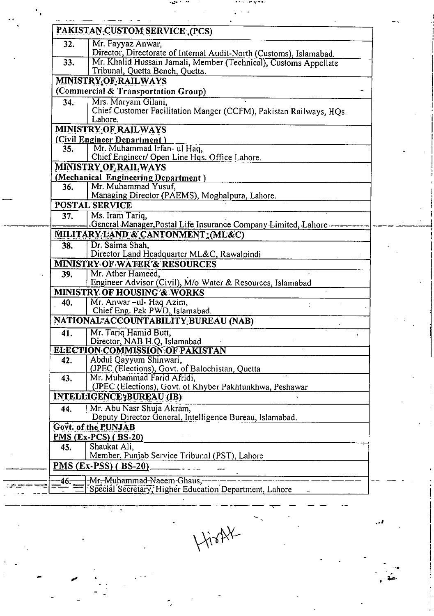|      | PAKISTAN CUSTOM SERVICE, (PCS)                                                |  |  |  |  |
|------|-------------------------------------------------------------------------------|--|--|--|--|
| 32.  | Mr. Fayyaz Anwar,                                                             |  |  |  |  |
|      | Director, Directorate of Internal Audit-North (Customs), Islamabad.           |  |  |  |  |
| 33.  | Mr. Khalid Hussain Jamali, Member (Technical), Customs Appellate              |  |  |  |  |
|      | Tribunal, Quetta Bench, Quetta.                                               |  |  |  |  |
|      | MINISTRY OF RAILWAYS                                                          |  |  |  |  |
|      | (Commercial & Transportation Group)                                           |  |  |  |  |
| 34.  | Mrs. Maryam Gilani,                                                           |  |  |  |  |
|      | Chief Customer Facilitation Manger (CCFM), Pakistan Railways, HQs.            |  |  |  |  |
|      | Lahore.                                                                       |  |  |  |  |
|      | <b>MINISTRY OF RAILWAYS</b>                                                   |  |  |  |  |
|      | (Civil Engineer Department)                                                   |  |  |  |  |
| 35.  | Mr. Muhammad Irfan- ul Haq,                                                   |  |  |  |  |
|      | Chief Engineer/ Open Line Hqs. Office Lahore.                                 |  |  |  |  |
|      | <b>MINISTRY OF RAILWAYS</b>                                                   |  |  |  |  |
|      | (Mechanical Engineering Department)                                           |  |  |  |  |
| 36.  | Mr. Muhammad Yusuf,                                                           |  |  |  |  |
|      | Managing Director (PAEMS), Moghalpura, Lahore.                                |  |  |  |  |
|      | POSTAL SERVICE                                                                |  |  |  |  |
| 37.  | Ms. Iram Tariq,                                                               |  |  |  |  |
|      | General Manager, Postal Life Insurance Company Limited, Lahore.               |  |  |  |  |
|      | MILITARY LAND & CANTONMENT: (ML&C)                                            |  |  |  |  |
| 38.  | Dr. Saima Shah,                                                               |  |  |  |  |
|      | Director Land Headquarter ML&C, Rawalpindi                                    |  |  |  |  |
|      | <b>MINISTRY OF WATER'&amp; RESOURCES</b>                                      |  |  |  |  |
| 39.  | Mr. Ather Hameed,                                                             |  |  |  |  |
|      | Engineer Advisor (Civil), M/o Water & Resources, Islamabad                    |  |  |  |  |
|      | <b>MINISTRY OF HOUSING'&amp; WORKS</b>                                        |  |  |  |  |
| 40.  | Mr. Anwar-ul- Haq Azim,                                                       |  |  |  |  |
|      | Chief Eng. Pak PWD, Islamabad.                                                |  |  |  |  |
|      | NATIONAL ACCOUNTABILITY BUREAU (NAB)                                          |  |  |  |  |
| 41.  | Mr. Tariq Hamid Butt,                                                         |  |  |  |  |
|      | Director, NAB H.Q, Islamabad                                                  |  |  |  |  |
|      | <b>ELECTION COMMISSION OF PAKISTAN</b>                                        |  |  |  |  |
| 42.  | Abdul Qayyum Shinwari,                                                        |  |  |  |  |
|      | (JPEC (Elections), Govt. of Balochistan, Quetta<br>Mr. Muhammad Farid Afridi, |  |  |  |  |
| 43.  |                                                                               |  |  |  |  |
|      | (JPEC (Elections), Govt. of Khyber Pakhtunkhwa, Peshawar                      |  |  |  |  |
|      | <b>INTELLIGENCE BUREAU (IB)</b>                                               |  |  |  |  |
| 44.  | Mr. Abu Nasr Shuja Akram,                                                     |  |  |  |  |
|      | Deputy Director General, Intelligence Bureau, Islamabad.                      |  |  |  |  |
|      | Govt. of the PUNJAB                                                           |  |  |  |  |
|      | $PMS$ (Ex-PCS) (BS-20)                                                        |  |  |  |  |
| 45.  | Shaukat Ali,                                                                  |  |  |  |  |
|      | Member, Punjab Service Tribunal (PST), Lahore                                 |  |  |  |  |
|      | PMS $(EX-PSS)$ $(BS-20)$                                                      |  |  |  |  |
| -46. | Mr-Muhammad-Naeem Ghaus,                                                      |  |  |  |  |
|      | Special Secretary, Higher Education Department, Lahore                        |  |  |  |  |
|      |                                                                               |  |  |  |  |

HisAX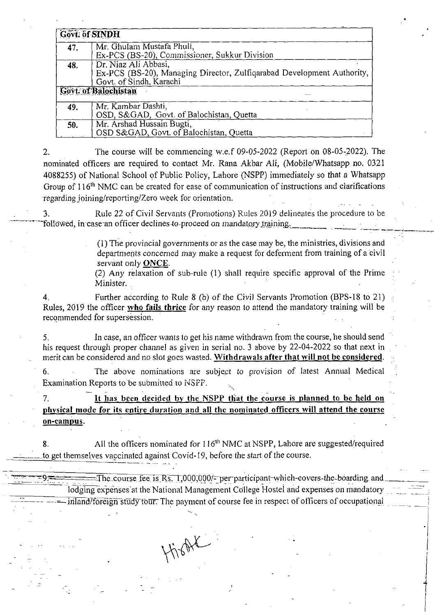|     | Govt. of SINDH                                                                                                            |
|-----|---------------------------------------------------------------------------------------------------------------------------|
| 47. | Mr. Ghulam Mustafa Phull,<br>Ex-PCS (BS-20), Commissioner, Sukkur Division                                                |
| 48. | Dr. Niaz Ali Abbasi,<br>Ex-PCS (BS-20), Managing Director, Zulfiqarabad Development Authority,<br>Govt. of Sindh, Karachi |
|     | Govt. of Balochistan                                                                                                      |
| 49. | Mr. Kambar Dashti,<br>OSD, S&GAD, Govt. of Balochistan, Quetta                                                            |
| 50. | Mr. Arshad Hussain Bugti,<br>OSD S&GAD, Govt. of Balochistan, Quetta                                                      |

2. The course will be commencing w.e.f 09-05-2022 (Report on 08-05-2022). The nominated officers are required to contact Mr. Rana Akbar Ali, (Mobile/Whatsapp no. 0321 4088255) of National School of Public Policy, Lahore (NSPP) immediately so that a Whatsapp Group of  $116<sup>th</sup> NMC$  can be created for ease of communication of instructions and clarifications regarding joining/reporting/Zero week for orientation.

3. Rule 22 of Civil Servants (Promotions) Rules 2019 delineates the procedure to be followed, in case an officer declines to proceed on mandatory training.

> (1) The provincial governments or as the case may be, the ministries, divisions and departments concerned may make a request for deferment from training of a civil servant only ONCE.

> (2) Any relaxation of sub-rule (1) shall require specific approval of the Prime Minister.

4. Further according to Rule 8 (b) of the Civil Servants Promotion (BPS-18 to 21) Rules, 2019 the officer **who fails thrice** for any reason to attend the mandatory training will be recommended for supersession.

5. In case, an officer wants to get his name withdrawn from the course, he should send his request through proper channel as given in serial no. 3 above by 22-04-2022 so that next in merit can be considered and no slot goes wasted. Withdrawals after that will not be considered.

6. The above nominations are subject to provision of latest Annual Medical Examination Reports to be submitted to  $\frac{1}{SFP}$ .<br>7. **It has been decided by the N** 

It has been decided by the NSPP that the course is planned to be held on **physical mode for its entire duration and all the nominated officers will attend the course on-campus.** 

8. All the officers nominated for  $116<sup>th</sup> NMC$  at NSPP, Lahore are suggested/required to get themselves vaccinated against Covid-19, before the start of the course.

HisAK

.-

8. All the officers nominated for 110<sup>th</sup> NMC at NSPP, Lahore are suggested/required<br>to get themselves vaccinated against Covid-19, before the start of the course.<br>9. The course fee is Rs. 1,000,000/- per participant-which The course fee is Rs. 1,000,000/- per participant which covers the boarding and lodging expenses at the National Management College Hostel and expenses on mandatory inland/foreign study tour. The payment of course fee in r Dr. U. O. U. There is a respect to the series the boarding and the Management College Hostel and expenses on mandatory<br>
ment of course fee in respect of officers of occupational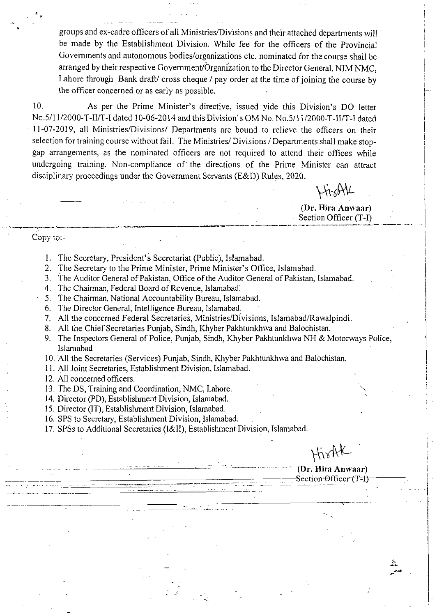groups and ex-cadre officers of all Ministries/Divisions and their attached departments will be made by the Establishment Division. While fee for the officers of the Provincial Governments and autonomous bodies/organizations etc. nominated for the course shall be arranged by their respective Government/ $\hat{O}$ rganization to the Director General, NIM NMC, Lahore through Bank draft/ cross cheque / pay order at the time of joining the course by the officer concerned or as early as possible.

10. As per the Prime Minister's directive, issued vide this Division's DO letter No.5/11/2000-T-II/T-I dated 10-06-2014 and this Division's OM No. No.5/11/2000-T-II/T-I dated 11-07-2019, all Ministries/Divisions/ Departments are bound to relieve the officers on their selection for training course without fail. The Ministries/ Divisions / Departments shall make stopgap arrangements, as the nominated officers are not required to attend their offices while undergoing training. Non-compliance of the directions of the Prime Minister can attract disciplinary proceedings under the Government Servants (E&D) Rules, 2020. ~p

**(Dr. Hira Anwaar)**  Section Officer (T-I) **.\_\_\_\_\_\_\_i\_** -.-- - - ----- -

## Copy to:-

~

- 1. The Secretary, President's Secretariat (Public), Islamabad.
- 2. The Secretary to the Prime Minister, Prime Minister's Office, Islamabad.
- 3. The Auditor General of Pakistan, Office of the Auditor General of Pakistan, Islamabad.
- 4. The Chairman, Federal Board of Revenue, Islamabad:

 $~\cdot$  .

- 5. The Chairman, National Accountability Bureau, Islamabad.
- *6.* The Director General, Intelligence Bureau, Islamabad.
- 7. All the concerned Federal Secretaries, Ministries/Divisions, Islamabad/Rawalpindi.
- 8. All the Chief Secretaries Punjab, Sindh, Khyber Pakhtunkhwa and Balochistan.
- 9. The Inspectors General of Police, Punjab, Sindh, Khyber Pakhtunkhwa NH & Motorways Police, Islamabad

-. -. ~ - . ... ~ ~

. ~ - ~ ~- -- .. . .- -~ ~ ~

- 10. All the Secretaries (Services) Punjab, Sindh, Khyber Pakhtunkhwa and Balochistan.
- 11. All Joint Secretaries, Establishment Division, Islamabad.
- 12. All concerned officers.

.. . . . . .. . . .... . -~ ~ .- - ~- ~

- 13. The DS, Training and Coordination, NMC, Lahore. \,
- 14. Director (PD), Establishment Division, Islamabad.
- 15. Director (IT), Establishment Division, Islamabad.
- 16. SPS to Secretary, Establishment Division, Islamabad.
- 17. SPSs to Additional Secretaries (I&II), Establishment Division, Islamabad.

- ~ . - . - - - . ~ . -. .. . . ~. ~ . . .. - -. - ~~. . ~. - **(Dr. Hira Anwaar)** 

 $\frac{\text{Dr. Hira An}}{\text{Section Office}}$  $+ \sqrt{8}$ <br>(Dr. Hira)<br>Section-Off